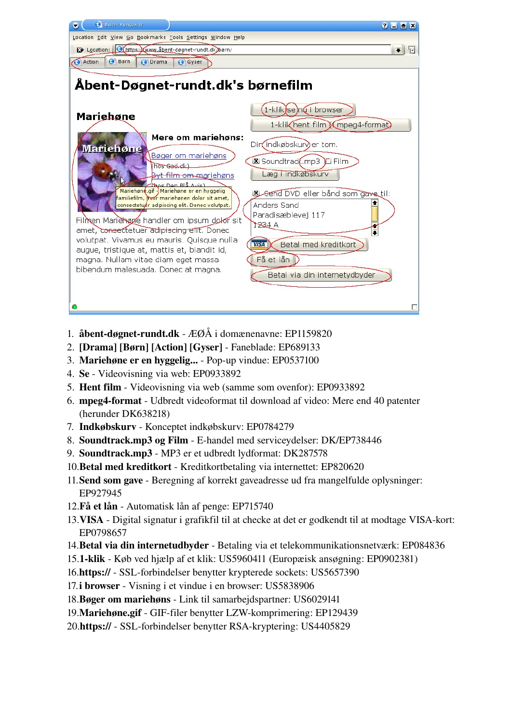| <b>C</b> Born - Konqueror<br>$2$ $\Box$ $\Box$ $X$<br>Ξ                                                                                                                                                                                                                                                                                                                                                                                                                                                                                                                                                                                                                                                  |
|----------------------------------------------------------------------------------------------------------------------------------------------------------------------------------------------------------------------------------------------------------------------------------------------------------------------------------------------------------------------------------------------------------------------------------------------------------------------------------------------------------------------------------------------------------------------------------------------------------------------------------------------------------------------------------------------------------|
| Location Edit View Go Bookmarks Tools Settings Window Help                                                                                                                                                                                                                                                                                                                                                                                                                                                                                                                                                                                                                                               |
| E Location: Chttps: Kwww.åbent-døgnet-rundt.dk/børn/<br>中<br>$\overline{\bullet}$                                                                                                                                                                                                                                                                                                                                                                                                                                                                                                                                                                                                                        |
| <b>Børn</b><br>Action<br>O Drama<br><b>Gyser</b>                                                                                                                                                                                                                                                                                                                                                                                                                                                                                                                                                                                                                                                         |
| Äbent-Døgnet-rundt.dk's børnefilm<br>-klikese)nu i browser<br>Mariehøne<br>1-klik hent film (mpeg4-format)<br>Mere om mariehøns:<br>Dir indkøbskurv) er tom.<br><b>Mariehøne</b><br>Bøger om mariehøns<br>Soundtrack.mp3 L Film<br>(hos Gad.dk)<br>Læg i indkøbskurv<br><b>Byt-film-om-mariehøns</b><br>Thos Dan BLS Avis)<br>Mariehøne.gif -) Mariehøne er en hyggelig<br>B-Send DVD eller bånd som gave til:<br>familiefilm, hvor mariehønen dolor sit amet,<br>Anders Sand<br>consectetuér adipiscing elit. Donec volutpat.<br>Paradisæblevej 117<br>Filmen Marienage handler om ipsum dolor sit<br>1234 A<br>amet, consectetuer adipiscing efft. Donec<br>volutpat. Vivamus eu mauris. Quisque nulla |
| Betal med kreditkort<br><b>VISA</b><br>augue, tristique at, mattis et, blandit id,<br>Få et lån<br>magna. Nullam vitae diam eget massa<br>bibendum malesuada. Donec at magna.<br>Betal via din internetydbyder                                                                                                                                                                                                                                                                                                                                                                                                                                                                                           |
|                                                                                                                                                                                                                                                                                                                                                                                                                                                                                                                                                                                                                                                                                                          |

- 1. åbent-døgnet-rundt.dk  $E\cancel{O}A$  i domænenavne: EP1159820
- 2. [Drama] [Børn] [Action] [Gyser] Faneblade: EP689133
- 3. Mariehøne er en hyggelig... Pop-up vindue: EP0537100
- 4. Se Videovisning via web: EP0933892
- 5. Hent film Videovisning via web (samme som ovenfor): EP0933892
- 6. mpeg4-format Udbredt videoformat til download af video: Mere end 40 patenter (herunder DK638218)
- 7. Indkøbskurv Konceptet indkøbskurv: EP0784279
- 8. Soundtrack.mp3 og Film E-handel med serviceydelser: DK/EP738446
- 9. Soundtrack.mp3 MP3 er et udbredt lydformat: DK287578
- 10. Betal med kreditkort Kreditkortbetaling via internettet: EP820620
- 11. Send som gave Beregning af korrekt gaveadresse ud fra mangelfulde oplysninger: EP927945
- 12. Få et lån Automatisk lån af penge: EP715740
- 13. VISA Digital signatur i grafikfil til at checke at det er godkendt til at modtage VISA-kort: EP0798657
- 14. Betal via din internetudbyder Betaling via et telekommunikationsnetværk: EP084836
- 15.1klik Køb ved hjælp af et klik: US5960411 (Europæisk ansøgning: EP0902381)
- 16.https:// SSL-forbindelser benytter krypterede sockets: US5657390
- 17.i browser Visning i et vindue i en browser: US5838906
- 18.Bøger om mariehøns Link til samarbejdspartner: US6029141
- 19. Mariehøne.gif GIF-filer benytter LZW-komprimering: EP129439
- 20.https:// SSL-forbindelser benytter RSA-kryptering: US4405829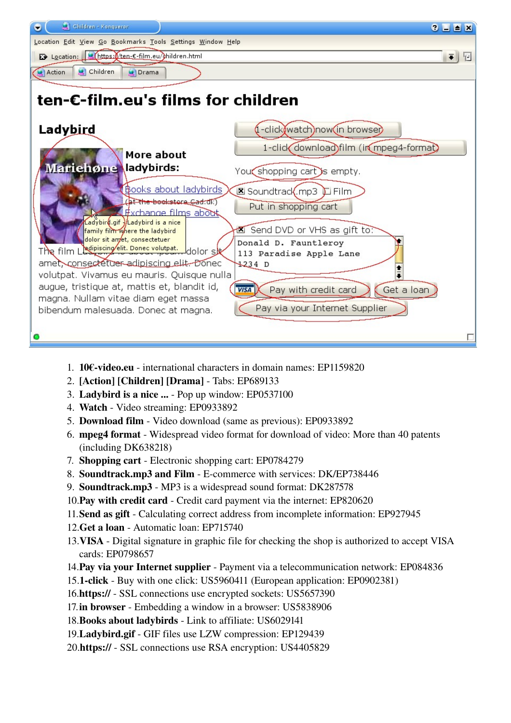

- 1. 10€-video.eu international characters in domain names: EP1159820
- 2. [Action] [Children] [Drama] Tabs: EP689133
- 3. Ladybird is a nice ... Pop up window: EP0537100
- 4. Watch Video streaming: EP0933892
- 5. Download film Video download (same as previous): EP0933892
- 6. mpeg4 format Widespread video format for download of video: More than 40 patents (including DK638218)
- 7. Shopping cart Electronic shopping cart: EP0784279
- 8. Soundtrack.mp3 and Film E-commerce with services: DK/EP738446
- 9. Soundtrack.mp3 MP3 is a widespread sound format: DK287578
- 10.Pay with credit card Credit card payment via the internet: EP820620
- 11.Send as gift Calculating correct address from incomplete information: EP927945
- 12.Get a loan Automatic loan: EP715740
- 13. VISA Digital signature in graphic file for checking the shop is authorized to accept VISA cards: EP0798657
- 14. Pay via your Internet supplier Payment via a telecommunication network: EP084836
- 15.1-click Buy with one click: US5960411 (European application: EP0902381)
- 16.https:// SSL connections use encrypted sockets: US5657390
- 17. **in browser** Embedding a window in a browser: US5838906
- 18. Books about ladybirds Link to affiliate: US6029141
- 19.Ladybird.gif GIF files use LZW compression: EP129439
- 20.https:// SSL connections use RSA encryption: US4405829